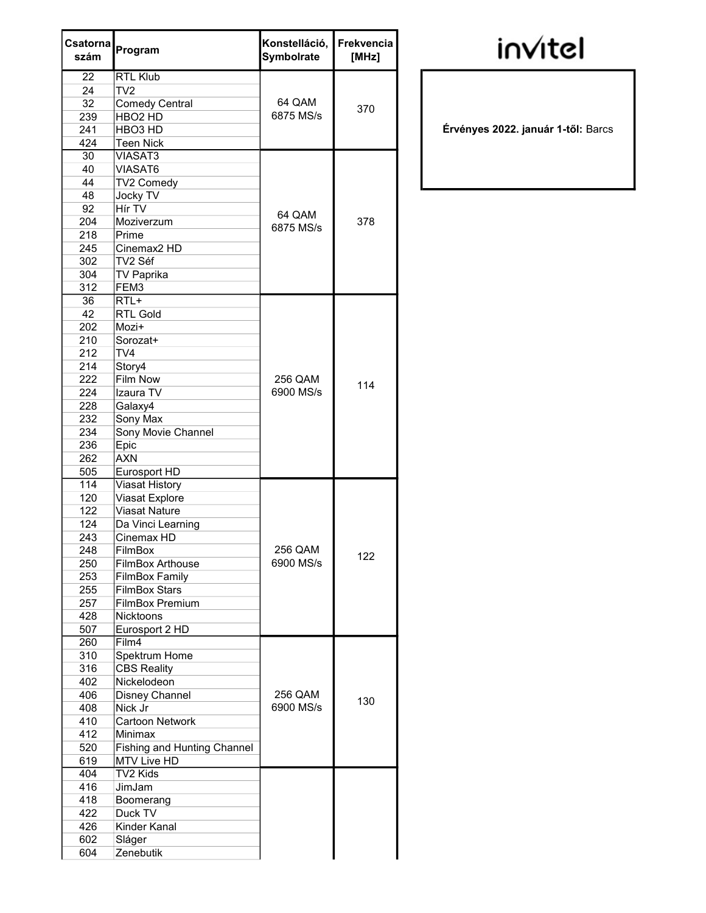| Csatorna<br>szám | Program                            | Konstelláció,<br>Symbolrate | Frekvencia<br>[MHz] |
|------------------|------------------------------------|-----------------------------|---------------------|
| 22               | RTL Klub                           |                             |                     |
| 24               | TV2                                |                             |                     |
| 32               | <b>Comedy Central</b>              | 64 QAM                      | 370                 |
| 239              | HBO <sub>2</sub> HD                | 6875 MS/s                   |                     |
| 241              | HBO <sub>3</sub> HD                |                             |                     |
| 424              | <b>Teen Nick</b>                   |                             |                     |
| 30               | <b>VIASAT3</b>                     |                             |                     |
| 40               | <b>VIASAT6</b>                     |                             |                     |
| 44               | TV2 Comedy                         | 64 QAM<br>6875 MS/s         | 378                 |
| 48               | Jocky TV                           |                             |                     |
| 92               | Hír TV                             |                             |                     |
| 204              | Moziverzum                         |                             |                     |
| 218              | Prime                              |                             |                     |
| 245              | Cinemax <sub>2</sub> HD            |                             |                     |
| 302              | TV2 Séf                            |                             |                     |
| 304              | <b>TV Paprika</b>                  |                             |                     |
| 312              | FEM3<br>$RTL+$                     |                             |                     |
| 36<br>42         | <b>RTL Gold</b>                    |                             |                     |
| 202              | Mozi+                              |                             |                     |
| 210              | Sorozat+                           |                             |                     |
| 212              | TV4                                |                             | 114                 |
| 214              | Story4                             |                             |                     |
| 222              | <b>Film Now</b>                    | 256 QAM                     |                     |
| 224              | Izaura TV                          | 6900 MS/s                   |                     |
| 228              | Galaxy4                            |                             |                     |
| 232              | Sony Max                           |                             |                     |
| 234              | Sony Movie Channel                 |                             |                     |
| 236              | Epic                               |                             |                     |
| 262              | <b>AXN</b>                         |                             |                     |
| 505              | Eurosport HD                       |                             |                     |
| 114              | Viasat History                     |                             |                     |
| 120              | Viasat Explore                     |                             |                     |
| 122              | <b>Viasat Nature</b>               |                             |                     |
| 124              | Da Vinci Learning                  |                             |                     |
| 243              | Cinemax HD                         |                             |                     |
| 248              | <b>FilmBox</b>                     | 256 QAM                     | 122                 |
| 250              | <b>FilmBox Arthouse</b>            | 6900 MS/s                   |                     |
| 253              | <b>FilmBox Family</b>              |                             |                     |
| 255              | <b>FilmBox Stars</b>               |                             |                     |
| 257              | <b>FilmBox Premium</b>             |                             |                     |
| 428              | <b>Nicktoons</b>                   |                             |                     |
| 507              | Eurosport 2 HD                     |                             |                     |
| 260              | Film4                              |                             |                     |
| 310              | Spektrum Home                      |                             |                     |
| 316              | <b>CBS Reality</b>                 |                             |                     |
| 402              | Nickelodeon                        | 256 QAM                     |                     |
| 406<br>408       | Disney Channel<br>Nick Jr          | 6900 MS/s                   | 130                 |
| 410              | <b>Cartoon Network</b>             |                             |                     |
| 412              | Minimax                            |                             |                     |
| 520              | <b>Fishing and Hunting Channel</b> |                             |                     |
| 619              | <b>MTV Live HD</b>                 |                             |                     |
| 404              | TV2 Kids                           |                             |                     |
| 416              | JimJam                             |                             |                     |
| 418              | Boomerang                          |                             |                     |
| 422              | Duck TV                            |                             |                     |
| 426              | Kinder Kanal                       |                             |                     |
| 602              | Sláger                             |                             |                     |
| 604              | Zenebutik                          |                             |                     |

## invitel

Érvényes 2022. január 1-től: Barcs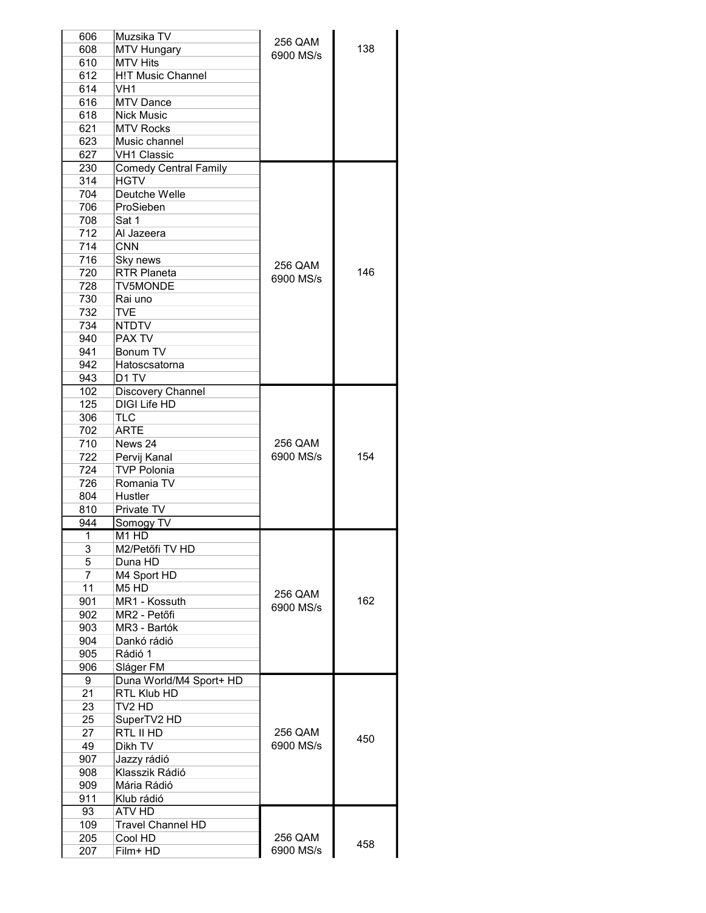| 606 | Muzsika TV                    |                      |     |
|-----|-------------------------------|----------------------|-----|
| 608 | <b>MTV Hungary</b>            | 256 QAM<br>6900 MS/s | 138 |
| 610 | <b>MTV Hits</b>               |                      |     |
| 612 | <b>H!T Music Channel</b>      |                      |     |
| 614 | VH1                           |                      |     |
| 616 | <b>MTV Dance</b>              |                      |     |
| 618 | <b>Nick Music</b>             |                      |     |
| 621 | <b>MTV Rocks</b>              |                      |     |
| 623 | Music channel                 |                      |     |
| 627 |                               |                      |     |
|     | <b>VH1 Classic</b>            |                      |     |
| 230 | <b>Comedy Central Family</b>  |                      |     |
| 314 | <b>HGTV</b>                   |                      |     |
| 704 | Deutche Welle                 |                      |     |
| 706 | ProSieben                     |                      |     |
| 708 | Sat 1                         |                      |     |
| 712 | Al Jazeera                    |                      |     |
| 714 | <b>CNN</b>                    |                      |     |
| 716 | Sky news                      | 256 QAM              |     |
| 720 | <b>RTR Planeta</b>            |                      | 146 |
| 728 | <b>TV5MONDE</b>               | 6900 MS/s            |     |
| 730 | Rai uno                       |                      |     |
| 732 | <b>TVF</b>                    |                      |     |
| 734 | <b>NTDTV</b>                  |                      |     |
| 940 | PAX TV                        |                      |     |
|     | Bonum TV                      |                      |     |
| 941 |                               |                      |     |
| 942 | Hatoscsatorna                 |                      |     |
| 943 | D <sub>1</sub> TV             |                      |     |
| 102 | Discovery Channel             |                      |     |
| 125 | DIGI Life HD                  |                      |     |
| 306 | TLC                           |                      |     |
| 702 | <b>ARTE</b>                   |                      |     |
| 710 | News 24                       | 256 QAM              |     |
| 722 | Pervij Kanal                  | 6900 MS/s            | 154 |
| 724 | TVP Polonia                   |                      |     |
| 726 | Romania TV                    |                      |     |
| 804 | Hustler                       |                      |     |
| 810 | Private TV                    |                      |     |
| 944 | Somogy TV                     |                      |     |
| 1   | M1 HD                         |                      |     |
| 3   | M2/Petőfi TV HD               |                      |     |
|     |                               |                      |     |
| 5   | Duna HD                       |                      |     |
| 7   | M4 Sport HD                   |                      |     |
| 11  | M <sub>5</sub> H <sub>D</sub> | 256 QAM              |     |
| 901 | MR1 - Kossuth                 | 6900 MS/s            | 162 |
| 902 | MR2 - Petőfi                  |                      |     |
| 903 | MR3 - Bartók                  |                      |     |
| 904 | Dankó rádió                   |                      |     |
| 905 | Rádió 1                       |                      |     |
| 906 | Sláger FM                     |                      |     |
| 9   | Duna World/M4 Sport+ HD       |                      |     |
| 21  | RTL Klub HD                   |                      |     |
| 23  | TV2 HD                        |                      |     |
| 25  | SuperTV2 HD                   |                      |     |
| 27  |                               | 256 QAM              |     |
|     | RTL II HD                     |                      | 450 |
| 49  | Dikh TV                       | 6900 MS/s            |     |
| 907 | Jazzy rádió                   |                      |     |
| 908 | Klasszik Rádió                |                      |     |
| 909 | Mária Rádió                   |                      |     |
| 911 | Klub rádió                    |                      |     |
| 93  | ATV HD                        |                      |     |
| 109 | <b>Travel Channel HD</b>      |                      |     |
| 205 | Cool HD                       | 256 QAM              |     |
| 207 | Film+ HD                      | 6900 MS/s            | 458 |
|     |                               |                      |     |